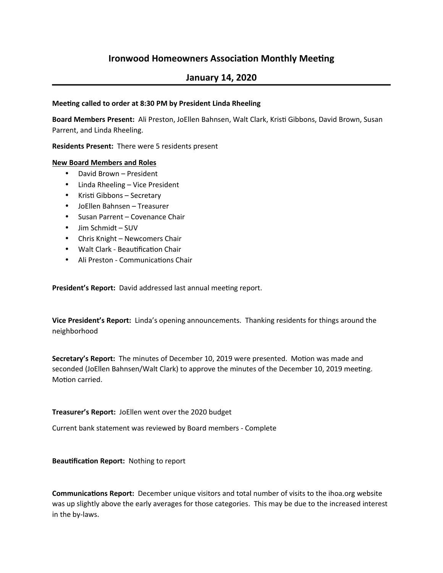# **Ironwood Homeowners Association Monthly Meeting**

## **January 14, 2020**

### **Meeting called to order at 8:30 PM by President Linda Rheeling**

Board Members Present: Ali Preston, JoEllen Bahnsen, Walt Clark, Kristi Gibbons, David Brown, Susan Parrent, and Linda Rheeling.

**Residents Present:** There were 5 residents present

### **New Board Members and Roles**

- David Brown President
- Linda Rheeling Vice President
- $\bullet$  Kristi Gibbons Secretary
- JoEllen Bahnsen Treasurer
- Susan Parrent Covenance Chair
- Jim Schmidt SUV
- Chris Knight Newcomers Chair
- Walt Clark Beautification Chair
- Ali Preston Communications Chair

**President's Report:** David addressed last annual meeting report.

**Vice President's Report:** Linda's opening announcements. Thanking residents for things around the neighborhood

Secretary's Report: The minutes of December 10, 2019 were presented. Motion was made and seconded (JoEllen Bahnsen/Walt Clark) to approve the minutes of the December 10, 2019 meeting. Motion carried.

#### **Treasurer's Report:** JoEllen went over the 2020 budget

Current bank statement was reviewed by Board members - Complete

**Beautification Report:** Nothing to report

**Communications Report:** December unique visitors and total number of visits to the ihoa.org website was up slightly above the early averages for those categories. This may be due to the increased interest in the by-laws.